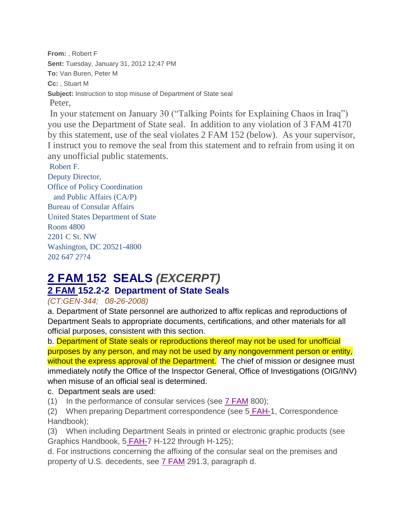**From:** , Robert F **Sent:** Tuesday, January 31, 2012 12:47 PM **To:** Van Buren, Peter M **Cc:** , Stuart M **Subject:** Instruction to stop misuse of Department of State seal Peter, In your statement on January 30 ("Talking Points for Explaining Chaos in Iraq") you use the Department of State seal. In addition to any violation of 3 FAM 4170 by this statement, use of the seal violates 2 FAM 152 (below). As your supervisor, I instruct you to remove the seal from this statement and to refrain from using it on any unofficial public statements. Robert F.

Deputy Director, Office of Policy Coordination and Public Affairs (CA/P) Bureau of Consular Affairs United States Department of State Room 4800 2201 C St. NW Washington, DC 20521-4800 202 647 2??4

## **2 FAM 152 SEALS** *(EXCERPT)* **2 FAM 152.2-2 Department of State Seals**

## *(CT:GEN-344; 08-26-2008)*

a. Department of State personnel are authorized to affix replicas and reproductions of Department Seals to appropriate documents, certifications, and other materials for all official purposes, consistent with this section.

b. Department of State seals or reproductions thereof may not be used for unofficial purposes by any person, and may not be used by any nongovernment person or entity, without the express approval of the Department. The chief of mission or designee must immediately notify the Office of the Inspector General, Office of Investigations (OIG/INV) when misuse of an official seal is determined.

## c. Department seals are used:

(1) In the performance of consular services (see [7 FAM](http://fam.a.state.gov/fam/07fam/07fam0810.html) 800);

(2) When preparing Department correspondence (see 5 [FAH-1](http://fam.a.state.gov/fam/05fah01.html), Correspondence Handbook);

(3) When including Department Seals in printed or electronic graphic products (see Graphics Handbook, 5 [FAH-7](http://fam.a.state.gov/fam/05fah07/05fah070120.html#H122) H-122 through H-125);

d. For instructions concerning the affixing of the consular seal on the premises and property of U.S. decedents, see [7 FAM](http://fam.a.state.gov/fam/07fam/07fam0290.html#M291_3) 291.3, paragraph d.